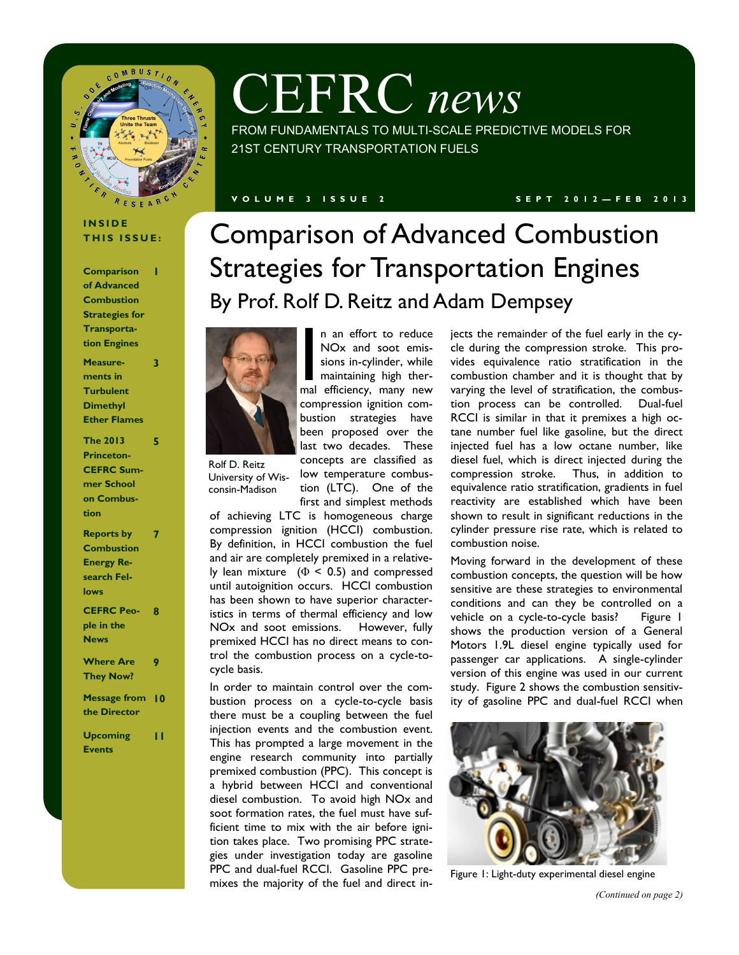

# CEFRC *news*

FROM FUNDAMENTALS TO MULTI-SCALE PREDICTIVE MODELS FOR 21ST CENTURY TRANSPORTATION FUELS

#### **V O L U M E 3 I S S U E 2 S E P T 2 0 1 2 — F E B 2 0 1 3**

#### **I N S I D E THIS ISSUE:**

**Comparison of Advanced Combustion Strategies for Transportation Engines 1 Measurements in Turbulent Dimethyl Ether Flames 3 The 2013 Princeton-CEFRC Summer School on Combustion 5 Reports by Combustion Energy Research Fellows 7 CEFRC Peo-8 ple in the** 

| <b>News</b>            |   |
|------------------------|---|
| <b>Where Are</b>       | 9 |
| <b>They Now?</b>       |   |
| <b>Message from</b> 10 |   |

**the Director**

**Upcoming Events 11**

## Comparison of Advanced Combustion Strategies for Transportation Engines By Prof. Rolf D. Reitz and Adam Dempsey



Rolf D. Reitz University of Wisconsin-Madison

n an effort to reduce<br>
NOx and soot emis-<br>
sions in-cylinder, while<br>
maintaining high ther-<br>
mal efficiency, many new n an effort to reduce NOx and soot emissions in-cylinder, while maintaining high thercompression ignition combustion strategies have been proposed over the last two decades. These concepts are classified as low temperature combustion (LTC). One of the

first and simplest methods of achieving LTC is homogeneous charge compression ignition (HCCI) combustion. By definition, in HCCI combustion the fuel and air are completely premixed in a relatively lean mixture  $(\Phi \le 0.5)$  and compressed until autoignition occurs. HCCI combustion has been shown to have superior characteristics in terms of thermal efficiency and low NOx and soot emissions. However, fully premixed HCCI has no direct means to control the combustion process on a cycle-tocycle basis.

In order to maintain control over the combustion process on a cycle-to-cycle basis there must be a coupling between the fuel injection events and the combustion event. This has prompted a large movement in the engine research community into partially premixed combustion (PPC). This concept is a hybrid between HCCI and conventional diesel combustion. To avoid high NOx and soot formation rates, the fuel must have sufficient time to mix with the air before ignition takes place. Two promising PPC strategies under investigation today are gasoline PPC and dual-fuel RCCI. Gasoline PPC premixes the majority of the fuel and direct in-

jects the remainder of the fuel early in the cycle during the compression stroke. This provides equivalence ratio stratification in the combustion chamber and it is thought that by varying the level of stratification, the combustion process can be controlled. Dual-fuel RCCI is similar in that it premixes a high octane number fuel like gasoline, but the direct injected fuel has a low octane number, like diesel fuel, which is direct injected during the compression stroke. Thus, in addition to equivalence ratio stratification, gradients in fuel reactivity are established which have been shown to result in significant reductions in the cylinder pressure rise rate, which is related to combustion noise.

Moving forward in the development of these combustion concepts, the question will be how sensitive are these strategies to environmental conditions and can they be controlled on a vehicle on a cycle-to-cycle basis? Figure 1 shows the production version of a General Motors 1.9L diesel engine typically used for passenger car applications. A single-cylinder version of this engine was used in our current study. Figure 2 shows the combustion sensitivity of gasoline PPC and dual-fuel RCCI when



Figure 1: Light-duty experimental diesel engine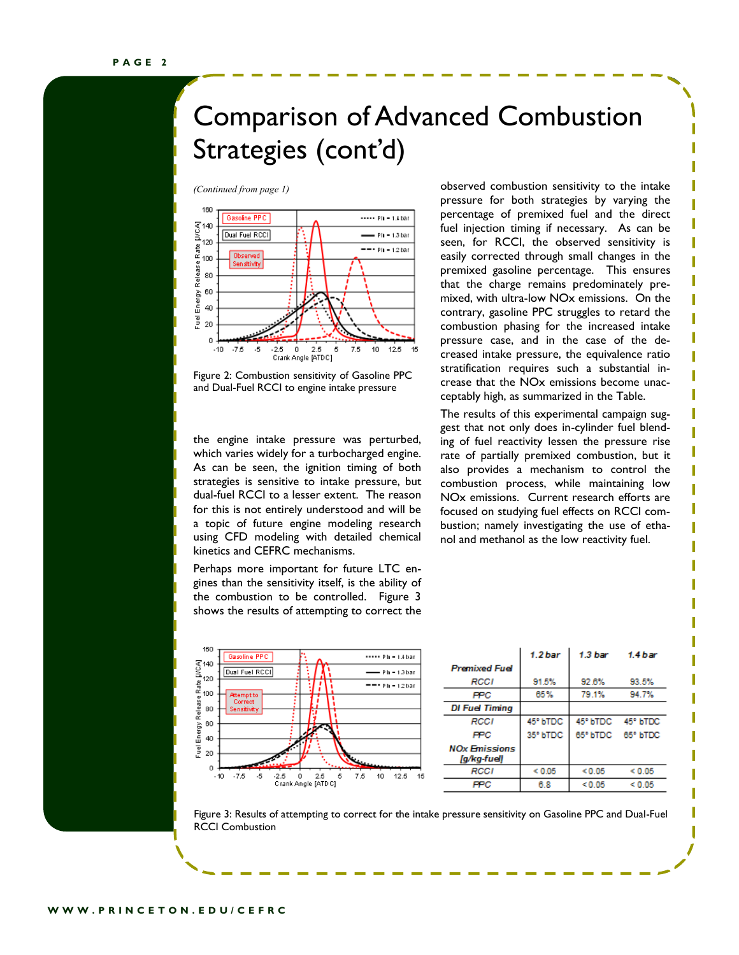### Comparison of Advanced Combustion Strategies (cont'd)



Figure 2: Combustion sensitivity of Gasoline PPC and Dual-Fuel RCCI to engine intake pressure

the engine intake pressure was perturbed, which varies widely for a turbocharged engine. As can be seen, the ignition timing of both strategies is sensitive to intake pressure, but dual-fuel RCCI to a lesser extent. The reason for this is not entirely understood and will be a topic of future engine modeling research using CFD modeling with detailed chemical kinetics and CEFRC mechanisms.

Perhaps more important for future LTC engines than the sensitivity itself, is the ability of the combustion to be controlled. Figure 3 shows the results of attempting to correct the



*(Continued from page 1)* observed combustion sensitivity to the intake pressure for both strategies by varying the percentage of premixed fuel and the direct fuel injection timing if necessary. As can be seen, for RCCI, the observed sensitivity is easily corrected through small changes in the premixed gasoline percentage. This ensures that the charge remains predominately premixed, with ultra-low NOx emissions. On the contrary, gasoline PPC struggles to retard the combustion phasing for the increased intake pressure case, and in the case of the decreased intake pressure, the equivalence ratio stratification requires such a substantial increase that the NOx emissions become unacceptably high, as summarized in the Table.

> The results of this experimental campaign suggest that not only does in-cylinder fuel blending of fuel reactivity lessen the pressure rise rate of partially premixed combustion, but it also provides a mechanism to control the combustion process, while maintaining low NOx emissions. Current research efforts are focused on studying fuel effects on RCCI combustion; namely investigating the use of ethanol and methanol as the low reactivity fuel.

|                                     | 1.2 <sub>bar</sub> | 1.3 bar      | 1.4 bar           |
|-------------------------------------|--------------------|--------------|-------------------|
| <b>Premixed Fuel</b>                |                    |              |                   |
| RCCI                                | 91.5%              | 92.6%        | 93.5%             |
| PPC                                 | 65%                | 79.1%        | 94.7%             |
| <b>DI Fuel Timing</b>               |                    |              |                   |
| RCCI                                | 45° bTDC           |              | 45° bTDC 45° bTDC |
| FPC                                 | 35° bTDC           |              | 65° bTDC 65° bTDC |
| <b>NOx Emissions</b><br>[q/kq-fuel] |                    |              |                   |
| RCCI                                | ${}< 0.05$         | ${}^{<0.05}$ | < 0.05            |
| PPC                                 | 6.8                | < 0.05       | < 0.05            |

Figure 3: Results of attempting to correct for the intake pressure sensitivity on Gasoline PPC and Dual-Fuel RCCI Combustion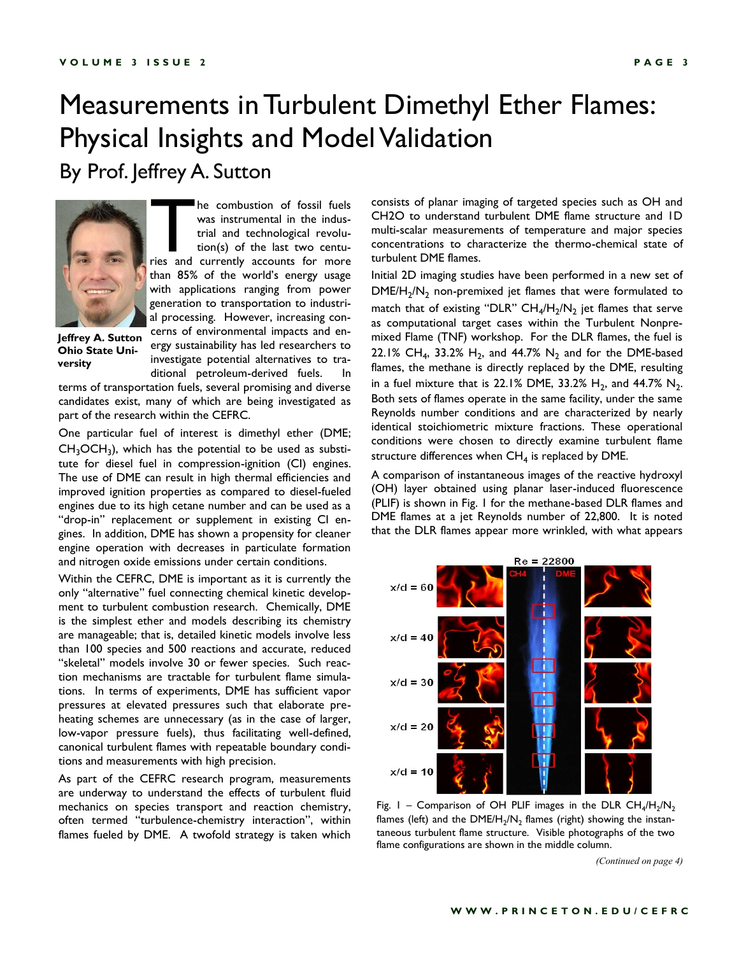### Measurements in Turbulent Dimethyl Ether Flames: Physical Insights and Model Validation By Prof. Jeffrey A. Sutton



The combustion of fossil fuels<br>was instrumental in the indus-<br>trial and technological revolu-<br>tion(s) of the last two centu-<br>ries and currently accounts for more he combustion of fossil fuels was instrumental in the industrial and technological revolution(s) of the last two centuthan 85% of the world's energy usage with applications ranging from power generation to transportation to industrial processing. However, increasing concerns of environmental impacts and energy sustainability has led researchers to investigate potential alternatives to tra-

ditional petroleum-derived fuels. In

**Jeffrey A. Sutton Ohio State University**

terms of transportation fuels, several promising and diverse candidates exist, many of which are being investigated as part of the research within the CEFRC.

One particular fuel of interest is dimethyl ether (DME;  $CH<sub>3</sub>OCH<sub>3</sub>$ ), which has the potential to be used as substitute for diesel fuel in compression-ignition (CI) engines. The use of DME can result in high thermal efficiencies and improved ignition properties as compared to diesel-fueled engines due to its high cetane number and can be used as a "drop-in" replacement or supplement in existing CI engines. In addition, DME has shown a propensity for cleaner engine operation with decreases in particulate formation and nitrogen oxide emissions under certain conditions.

Within the CEFRC, DME is important as it is currently the only "alternative" fuel connecting chemical kinetic development to turbulent combustion research. Chemically, DME is the simplest ether and models describing its chemistry are manageable; that is, detailed kinetic models involve less than 100 species and 500 reactions and accurate, reduced "skeletal" models involve 30 or fewer species. Such reaction mechanisms are tractable for turbulent flame simulations. In terms of experiments, DME has sufficient vapor pressures at elevated pressures such that elaborate preheating schemes are unnecessary (as in the case of larger, low-vapor pressure fuels), thus facilitating well-defined, canonical turbulent flames with repeatable boundary conditions and measurements with high precision.

As part of the CEFRC research program, measurements are underway to understand the effects of turbulent fluid mechanics on species transport and reaction chemistry, often termed "turbulence-chemistry interaction", within flames fueled by DME. A twofold strategy is taken which

consists of planar imaging of targeted species such as OH and CH2O to understand turbulent DME flame structure and 1D multi-scalar measurements of temperature and major species concentrations to characterize the thermo-chemical state of turbulent DME flames.

Initial 2D imaging studies have been performed in a new set of  $\mathsf{DME}/\mathsf{H}_2/\mathsf{N}_2$  non-premixed jet flames that were formulated to match that of existing "DLR"  $CH_4/H_2/N_2$  jet flames that serve as computational target cases within the Turbulent Nonpremixed Flame (TNF) workshop. For the DLR flames, the fuel is 22.1% CH<sub>4</sub>, 33.2% H<sub>2</sub>, and 44.7% N<sub>2</sub> and for the DME-based flames, the methane is directly replaced by the DME, resulting in a fuel mixture that is 22.1% DME, 33.2%  $H_2$ , and 44.7%  $N_2$ . Both sets of flames operate in the same facility, under the same Reynolds number conditions and are characterized by nearly identical stoichiometric mixture fractions. These operational conditions were chosen to directly examine turbulent flame structure differences when  $\textsf{CH}_4$  is replaced by DME.

A comparison of instantaneous images of the reactive hydroxyl (OH) layer obtained using planar laser-induced fluorescence (PLIF) is shown in Fig. 1 for the methane-based DLR flames and DME flames at a jet Reynolds number of 22,800. It is noted that the DLR flames appear more wrinkled, with what appears



Fig. 1 – Comparison of OH PLIF images in the DLR  $CH_4/H_2/N_2$ flames (left) and the DME/H $_2$ /N $_2$  flames (right) showing the instantaneous turbulent flame structure. Visible photographs of the two flame configurations are shown in the middle column.

*(Continued on page 4)*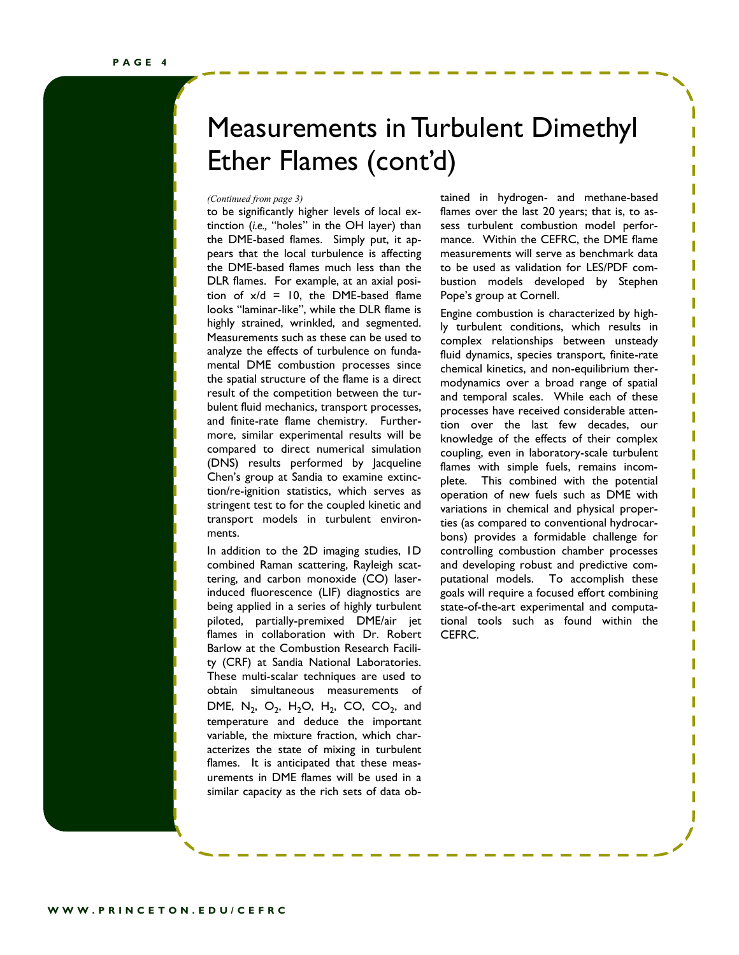### Measurements in Turbulent Dimethyl Ether Flames (cont'd)

to be significantly higher levels of local extinction (*i.e.,* "holes" in the OH layer) than the DME-based flames. Simply put, it appears that the local turbulence is affecting the DME-based flames much less than the DLR flames. For example, at an axial position of  $x/d = 10$ , the DME-based flame looks "laminar-like", while the DLR flame is highly strained, wrinkled, and segmented. Measurements such as these can be used to analyze the effects of turbulence on fundamental DME combustion processes since the spatial structure of the flame is a direct result of the competition between the turbulent fluid mechanics, transport processes, and finite-rate flame chemistry. Furthermore, similar experimental results will be compared to direct numerical simulation (DNS) results performed by Jacqueline Chen's group at Sandia to examine extinction/re-ignition statistics, which serves as stringent test to for the coupled kinetic and transport models in turbulent environments.

In addition to the 2D imaging studies, 1D combined Raman scattering, Rayleigh scattering, and carbon monoxide (CO) laserinduced fluorescence (LIF) diagnostics are being applied in a series of highly turbulent piloted, partially-premixed DME/air jet flames in collaboration with Dr. Robert Barlow at the Combustion Research Facility (CRF) at Sandia National Laboratories. These multi-scalar techniques are used to obtain simultaneous measurements of DME,  $N_2$ ,  $O_2$ ,  $H_2O$ ,  $H_2$ , CO, CO<sub>2</sub>, and temperature and deduce the important variable, the mixture fraction, which characterizes the state of mixing in turbulent flames. It is anticipated that these measurements in DME flames will be used in a similar capacity as the rich sets of data ob-

*(Continued from page 3)* tained in hydrogen- and methane-based flames over the last 20 years; that is, to assess turbulent combustion model performance. Within the CEFRC, the DME flame measurements will serve as benchmark data to be used as validation for LES/PDF combustion models developed by Stephen Pope's group at Cornell.

> Engine combustion is characterized by highly turbulent conditions, which results in complex relationships between unsteady fluid dynamics, species transport, finite-rate chemical kinetics, and non-equilibrium thermodynamics over a broad range of spatial and temporal scales. While each of these processes have received considerable attention over the last few decades, our knowledge of the effects of their complex coupling, even in laboratory-scale turbulent flames with simple fuels, remains incomplete. This combined with the potential operation of new fuels such as DME with variations in chemical and physical properties (as compared to conventional hydrocarbons) provides a formidable challenge for controlling combustion chamber processes and developing robust and predictive computational models. To accomplish these goals will require a focused effort combining state-of-the-art experimental and computational tools such as found within the CEFRC.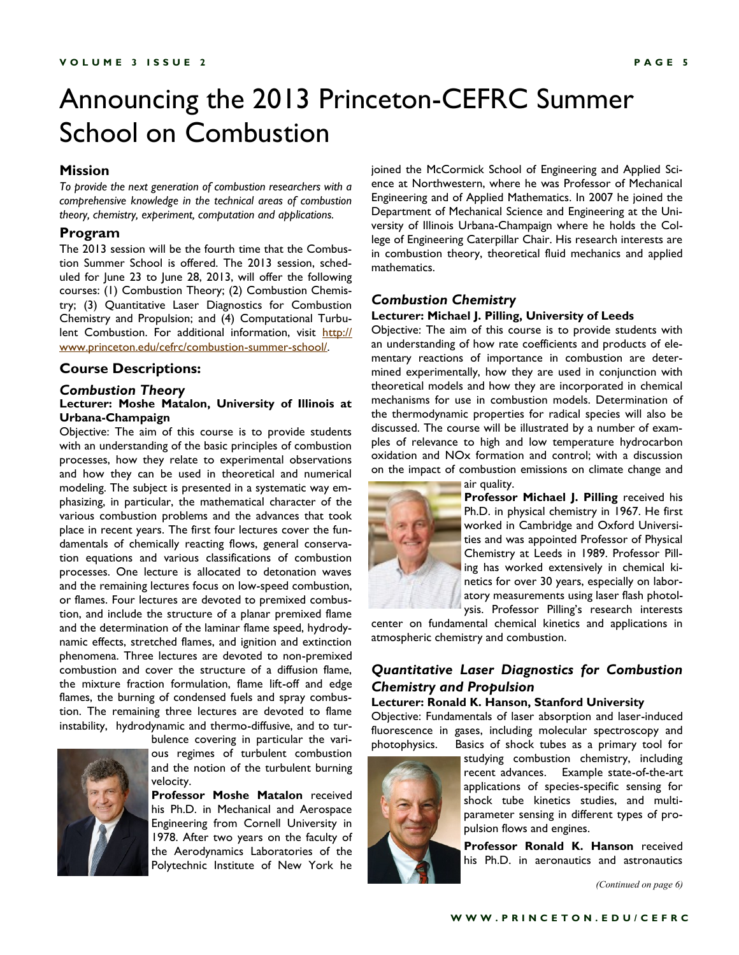### Announcing the 2013 Princeton-CEFRC Summer School on Combustion

#### **Mission**

*To provide the next generation of combustion researchers with a comprehensive knowledge in the technical areas of combustion theory, chemistry, experiment, computation and applications.*

#### **Program**

The 2013 session will be the fourth time that the Combustion Summer School is offered. The 2013 session, scheduled for June 23 to June 28, 2013, will offer the following courses: (1) Combustion Theory; (2) Combustion Chemistry; (3) Quantitative Laser Diagnostics for Combustion Chemistry and Propulsion; and (4) Computational Turbulent Combustion. For additional information, visit [http://](http://www.princeton.edu/cefrc/combustion-summer-school/) [www.princeton.edu/cefrc/combustion-summer-school/.](http://www.princeton.edu/cefrc/combustion-summer-school/)

#### **Course Descriptions:**

#### *Combustion Theory* **Lecturer: Moshe Matalon, University of Illinois at Urbana-Champaign**

Objective: The aim of this course is to provide students with an understanding of the basic principles of combustion processes, how they relate to experimental observations and how they can be used in theoretical and numerical modeling. The subject is presented in a systematic way emphasizing, in particular, the mathematical character of the various combustion problems and the advances that took place in recent years. The first four lectures cover the fundamentals of chemically reacting flows, general conservation equations and various classifications of combustion processes. One lecture is allocated to detonation waves and the remaining lectures focus on low-speed combustion, or flames. Four lectures are devoted to premixed combustion, and include the structure of a planar premixed flame and the determination of the laminar flame speed, hydrodynamic effects, stretched flames, and ignition and extinction phenomena. Three lectures are devoted to non-premixed combustion and cover the structure of a diffusion flame, the mixture fraction formulation, flame lift-off and edge flames, the burning of condensed fuels and spray combustion. The remaining three lectures are devoted to flame instability, hydrodynamic and thermo-diffusive, and to tur-



bulence covering in particular the various regimes of turbulent combustion and the notion of the turbulent burning velocity.

**Professor Moshe Matalon** received his Ph.D. in Mechanical and Aerospace Engineering from Cornell University in 1978. After two years on the faculty of the Aerodynamics Laboratories of the Polytechnic Institute of New York he

joined the McCormick School of Engineering and Applied Science at Northwestern, where he was Professor of Mechanical Engineering and of Applied Mathematics. In 2007 he joined the Department of Mechanical Science and Engineering at the University of Illinois Urbana-Champaign where he holds the College of Engineering Caterpillar Chair. His research interests are in combustion theory, theoretical fluid mechanics and applied mathematics.

#### *Combustion Chemistry*

#### **Lecturer: Michael J. Pilling, University of Leeds**

Objective: The aim of this course is to provide students with an understanding of how rate coefficients and products of elementary reactions of importance in combustion are determined experimentally, how they are used in conjunction with theoretical models and how they are incorporated in chemical mechanisms for use in combustion models. Determination of the thermodynamic properties for radical species will also be discussed. The course will be illustrated by a number of examples of relevance to high and low temperature hydrocarbon oxidation and NOx formation and control; with a discussion on the impact of combustion emissions on climate change and air quality.



**Professor Michael J. Pilling** received his Ph.D. in physical chemistry in 1967. He first worked in Cambridge and Oxford Universities and was appointed Professor of Physical Chemistry at Leeds in 1989. Professor Pilling has worked extensively in chemical kinetics for over 30 years, especially on laboratory measurements using laser flash photolysis. Professor Pilling's research interests

center on fundamental chemical kinetics and applications in atmospheric chemistry and combustion.

### *Quantitative Laser Diagnostics for Combustion Chemistry and Propulsion*

#### **Lecturer: Ronald K. Hanson, Stanford University**

Objective: Fundamentals of laser absorption and laser-induced fluorescence in gases, including molecular spectroscopy and photophysics. Basics of shock tubes as a primary tool for



studying combustion chemistry, including recent advances. Example state-of-the-art applications of species-specific sensing for shock tube kinetics studies, and multiparameter sensing in different types of propulsion flows and engines.

**Professor Ronald K. Hanson** received his Ph.D. in aeronautics and astronautics

*(Continued on page 6)*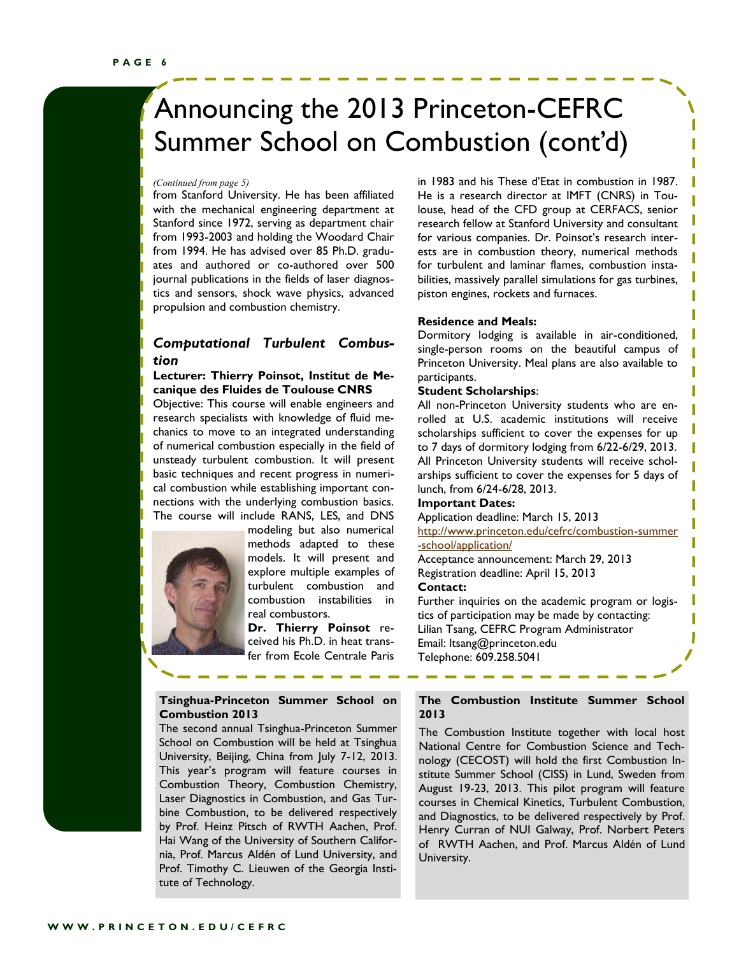# Announcing the 2013 Princeton-CEFRC Summer School on Combustion (cont'd)

from Stanford University. He has been affiliated with the mechanical engineering department at Stanford since 1972, serving as department chair from 1993-2003 and holding the Woodard Chair from 1994. He has advised over 85 Ph.D. graduates and authored or co-authored over 500 journal publications in the fields of laser diagnostics and sensors, shock wave physics, advanced propulsion and combustion chemistry.

#### *Computational Turbulent Combustion*

#### **Lecturer: Thierry Poinsot, Institut de Mecanique des Fluides de Toulouse CNRS**

Objective: This course will enable engineers and research specialists with knowledge of fluid mechanics to move to an integrated understanding of numerical combustion especially in the field of unsteady turbulent combustion. It will present basic techniques and recent progress in numerical combustion while establishing important connections with the underlying combustion basics. The course will include RANS, LES, and DNS



modeling but also numerical methods adapted to these models. It will present and explore multiple examples of turbulent combustion and combustion instabilities in real combustors.

**Dr. Thierry Poinsot** received his Ph.D. in heat transfer from Ecole Centrale Paris

#### **Tsinghua-Princeton Summer School on Combustion 2013**

The second annual Tsinghua-Princeton Summer School on Combustion will be held at Tsinghua University, Beijing, China from July 7-12, 2013. This year's program will feature courses in Combustion Theory, Combustion Chemistry, Laser Diagnostics in Combustion, and Gas Turbine Combustion, to be delivered respectively by Prof. Heinz Pitsch of RWTH Aachen, Prof. Hai Wang of the University of Southern California, Prof. Marcus Aldén of Lund University, and Prof. Timothy C. Lieuwen of the Georgia Institute of Technology.

*(Continued from page 5)* in 1983 and his These d'Etat in combustion in 1987. He is a research director at IMFT (CNRS) in Toulouse, head of the CFD group at CERFACS, senior research fellow at Stanford University and consultant for various companies. Dr. Poinsot's research interests are in combustion theory, numerical methods for turbulent and laminar flames, combustion instabilities, massively parallel simulations for gas turbines, piston engines, rockets and furnaces.

#### **Residence and Meals:**

Dormitory lodging is available in air-conditioned, single-person rooms on the beautiful campus of Princeton University. Meal plans are also available to participants.

#### **Student Scholarships**:

All non-Princeton University students who are enrolled at U.S. academic institutions will receive scholarships sufficient to cover the expenses for up to 7 days of dormitory lodging from 6/22-6/29, 2013. All Princeton University students will receive scholarships sufficient to cover the expenses for 5 days of lunch, from 6/24-6/28, 2013.

#### **Important Dates:**

Application deadline: March 15, 2013 [http://www.princeton.edu/cefrc/combustion-summer](http://www.princeton.edu/cefrc/combustion-summer-school/application/) [-school/application/](http://www.princeton.edu/cefrc/combustion-summer-school/application/)

Acceptance announcement: March 29, 2013 Registration deadline: April 15, 2013

#### **Contact:**

Further inquiries on the academic program or logistics of participation may be made by contacting: Lilian Tsang, CEFRC Program Administrator Email: ltsang@princeton.edu Telephone: 609.258.5041

#### **The Combustion Institute Summer School 2013**

The Combustion Institute together with local host National Centre for Combustion Science and Technology (CECOST) will hold the first Combustion Institute Summer School (CISS) in Lund, Sweden from August 19-23, 2013. This pilot program will feature courses in Chemical Kinetics, Turbulent Combustion, and Diagnostics, to be delivered respectively by Prof. Henry Curran of NUI Galway, Prof. Norbert Peters of RWTH Aachen, and Prof. Marcus Aldén of Lund University.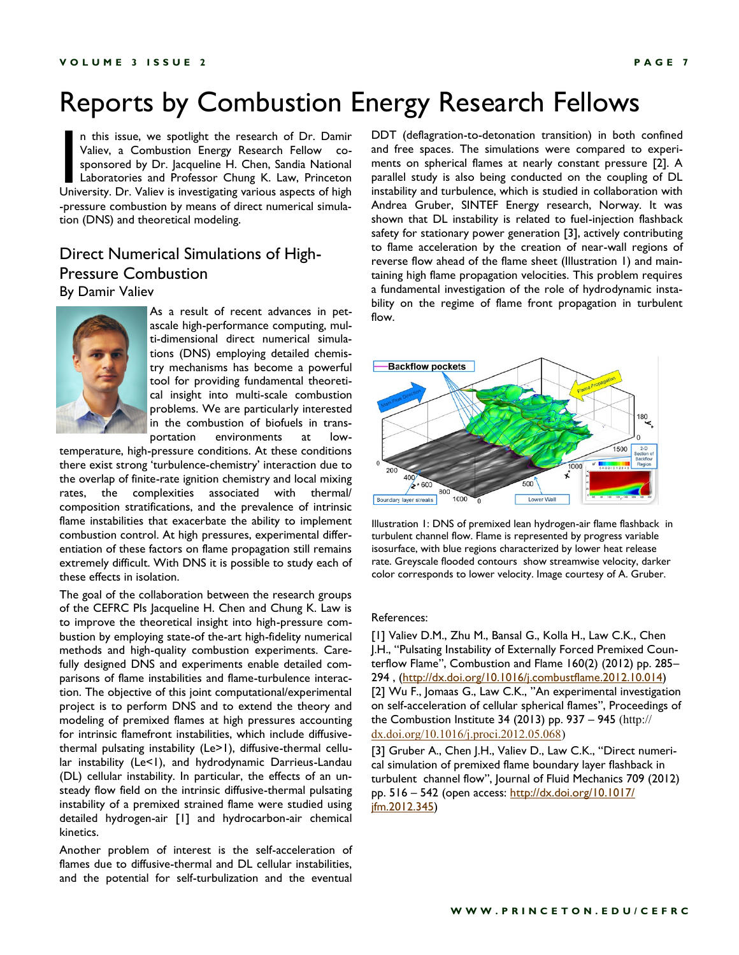### Reports by Combustion Energy Research Fellows

n this issue, we spotlight the research of Dr. Damir<br>Valiev, a Combustion Energy Research Fellow co-<br>sponsored by Dr. Jacqueline H. Chen, Sandia National<br>Laboratories and Professor Chung K. Law, Princeton<br>University. Dr. V n this issue, we spotlight the research of Dr. Damir Valiev, a Combustion Energy Research Fellow cosponsored by Dr. Jacqueline H. Chen, Sandia National Laboratories and Professor Chung K. Law, Princeton -pressure combustion by means of direct numerical simulation (DNS) and theoretical modeling.

### Direct Numerical Simulations of High-Pressure Combustion By Damir Valiev



As a result of recent advances in petascale high-performance computing, multi-dimensional direct numerical simulations (DNS) employing detailed chemistry mechanisms has become a powerful tool for providing fundamental theoretical insight into multi-scale combustion problems. We are particularly interested in the combustion of biofuels in transportation environments at low-

temperature, high-pressure conditions. At these conditions there exist strong 'turbulence-chemistry' interaction due to the overlap of finite-rate ignition chemistry and local mixing rates, the complexities associated with thermal/ composition stratifications, and the prevalence of intrinsic flame instabilities that exacerbate the ability to implement combustion control. At high pressures, experimental differentiation of these factors on flame propagation still remains extremely difficult. With DNS it is possible to study each of these effects in isolation.

The goal of the collaboration between the research groups of the CEFRC PIs Jacqueline H. Chen and Chung K. Law is to improve the theoretical insight into high-pressure combustion by employing state-of the-art high-fidelity numerical methods and high-quality combustion experiments. Carefully designed DNS and experiments enable detailed comparisons of flame instabilities and flame-turbulence interaction. The objective of this joint computational/experimental project is to perform DNS and to extend the theory and modeling of premixed flames at high pressures accounting for intrinsic flamefront instabilities, which include diffusivethermal pulsating instability (Le>1), diffusive-thermal cellular instability (Le<1), and hydrodynamic Darrieus-Landau (DL) cellular instability. In particular, the effects of an unsteady flow field on the intrinsic diffusive-thermal pulsating instability of a premixed strained flame were studied using detailed hydrogen-air [1] and hydrocarbon-air chemical kinetics.

Another problem of interest is the self-acceleration of flames due to diffusive-thermal and DL cellular instabilities, and the potential for self-turbulization and the eventual

DDT (deflagration-to-detonation transition) in both confined and free spaces. The simulations were compared to experiments on spherical flames at nearly constant pressure [2]. A parallel study is also being conducted on the coupling of DL instability and turbulence, which is studied in collaboration with Andrea Gruber, SINTEF Energy research, Norway. It was shown that DL instability is related to fuel-injection flashback safety for stationary power generation [3], actively contributing to flame acceleration by the creation of near-wall regions of reverse flow ahead of the flame sheet (Illustration 1) and maintaining high flame propagation velocities. This problem requires a fundamental investigation of the role of hydrodynamic instability on the regime of flame front propagation in turbulent flow.



Illustration 1: DNS of premixed lean hydrogen-air flame flashback in turbulent channel flow. Flame is represented by progress variable isosurface, with blue regions characterized by lower heat release rate. Greyscale flooded contours show streamwise velocity, darker color corresponds to lower velocity. Image courtesy of A. Gruber.

#### References:

[1] Valiev D.M., Zhu M., Bansal G., Kolla H., Law C.K., Chen J.H., "Pulsating Instability of Externally Forced Premixed Counterflow Flame", Combustion and Flame 160(2) (2012) pp. 285– 294 , ([http://dx.doi.org/10.1016/j.combustflame.2012.10.014\)](http://dx.doi.org/10.1016/j.combustflame.2012.10.014) [2] Wu F., Jomaas G., Law C.K., "An experimental investigation on self-acceleration of cellular spherical flames", Proceedings of the Combustion Institute 34 (2013) pp. 937 – 945 (http:// [dx.doi.org/10.1016/j.proci.2012.05.068\)](http://dx.doi.org/10.1016/j.proci.2012.05.068)

[3] Gruber A., Chen J.H., Valiev D., Law C.K., "Direct numerical simulation of premixed flame boundary layer flashback in turbulent channel flow", Journal of Fluid Mechanics 709 (2012) pp. 516 – 542 (open access: [http://dx.doi.org/10.1017/](http://dx.doi.org/10.1017/jfm.2012.345) [jfm.2012.345\)](http://dx.doi.org/10.1017/jfm.2012.345)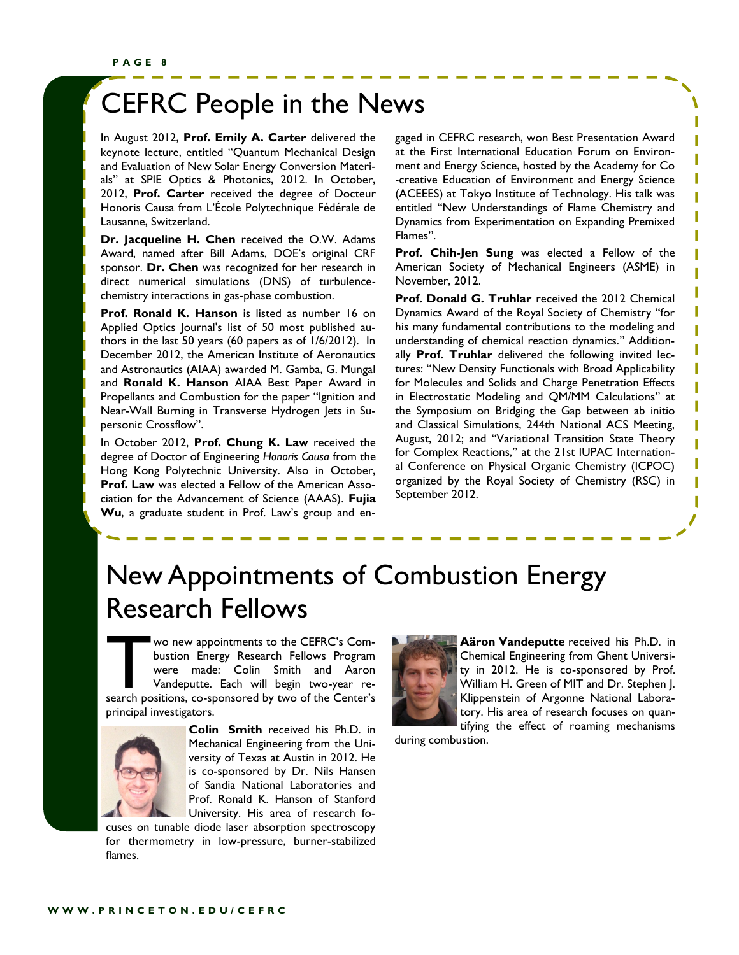### CEFRC People in the News

In August 2012, **Prof. Emily A. Carter** delivered the keynote lecture, entitled "Quantum Mechanical Design and Evaluation of New Solar Energy Conversion Materials" at SPIE Optics & Photonics, 2012. In October, 2012, **Prof. Carter** received the degree of Docteur Honoris Causa from L'École Polytechnique Fédérale de Lausanne, Switzerland.

**Dr. Jacqueline H. Chen** received the O.W. Adams Award, named after Bill Adams, DOE's original CRF sponsor. **Dr. Chen** was recognized for her research in direct numerical simulations (DNS) of turbulencechemistry interactions in gas-phase combustion.

**Prof. Ronald K. Hanson** is listed as number 16 on Applied Optics Journal's list of 50 most published authors in the last 50 years (60 papers as of 1/6/2012). In December 2012, the American Institute of Aeronautics and Astronautics (AIAA) awarded M. Gamba, G. Mungal and **Ronald K. Hanson** AIAA Best Paper Award in Propellants and Combustion for the paper "Ignition and Near-Wall Burning in Transverse Hydrogen Jets in Supersonic Crossflow".

In October 2012, **Prof. Chung K. Law** received the degree of Doctor of Engineering *Honoris Causa* from the Hong Kong Polytechnic University. Also in October, **Prof. Law** was elected a Fellow of the American Association for the Advancement of Science (AAAS). **Fujia Wu**, a graduate student in Prof. Law's group and engaged in CEFRC research, won Best Presentation Award at the First International Education Forum on Environment and Energy Science, hosted by the Academy for Co -creative Education of Environment and Energy Science (ACEEES) at Tokyo Institute of Technology. His talk was entitled "New Understandings of Flame Chemistry and Dynamics from Experimentation on Expanding Premixed Flames".

**Prof. Chih-Jen Sung** was elected a Fellow of the American Society of Mechanical Engineers (ASME) in November, 2012.

**Prof. Donald G. Truhlar** received the 2012 Chemical Dynamics Award of the Royal Society of Chemistry "for his many fundamental contributions to the modeling and understanding of chemical reaction dynamics." Additionally **Prof. Truhlar** delivered the following invited lectures: "New Density Functionals with Broad Applicability for Molecules and Solids and Charge Penetration Effects in Electrostatic Modeling and QM/MM Calculations" at the Symposium on Bridging the Gap between ab initio and Classical Simulations, 244th National ACS Meeting, August, 2012; and "Variational Transition State Theory for Complex Reactions," at the 21st IUPAC International Conference on Physical Organic Chemistry (ICPOC) organized by the Royal Society of Chemistry (RSC) in September 2012.

### New Appointments of Combustion Energy Research Fellows

wo new appointments to the CEFRC's Combustion Energy Research Fellows Program<br>were made: Colin Smith and Aaron<br>Vandeputte. Each will begin two-year re-<br>search positions, co-sponsored by two of the Center's wo new appointments to the CEFRC's Combustion Energy Research Fellows Program were made: Colin Smith and Aaron Vandeputte. Each will begin two-year reprincipal investigators.



**Colin Smith** received his Ph.D. in Mechanical Engineering from the University of Texas at Austin in 2012. He is co-sponsored by Dr. Nils Hansen of Sandia National Laboratories and Prof. Ronald K. Hanson of Stanford University. His area of research fo-

cuses on tunable diode laser absorption spectroscopy for thermometry in low-pressure, burner-stabilized flames.



**Aäron Vandeputte** received his Ph.D. in Chemical Engineering from Ghent University in 2012. He is co-sponsored by Prof. William H. Green of MIT and Dr. Stephen J. Klippenstein of Argonne National Laboratory. His area of research focuses on quantifying the effect of roaming mechanisms

during combustion.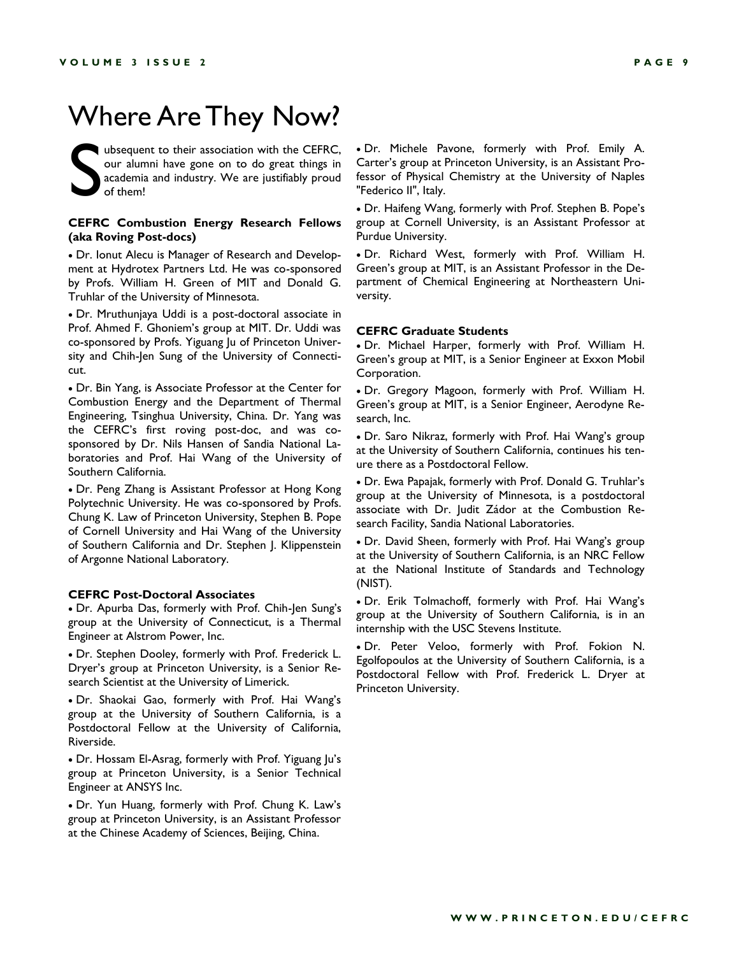### Where Are They Now?

S ubsequent to their association with the CEFRC, our alumni have gone on to do great things in academia and industry. We are justifiably proud of them!

#### **CEFRC Combustion Energy Research Fellows (aka Roving Post-docs)**

 Dr. Ionut Alecu is Manager of Research and Development at Hydrotex Partners Ltd. He was co-sponsored by Profs. William H. Green of MIT and Donald G. Truhlar of the University of Minnesota.

 Dr. Mruthunjaya Uddi is a post-doctoral associate in Prof. Ahmed F. Ghoniem's group at MIT. Dr. Uddi was co-sponsored by Profs. Yiguang Ju of Princeton University and Chih-Jen Sung of the University of Connecticut.

 Dr. Bin Yang, is Associate Professor at the Center for Combustion Energy and the Department of Thermal Engineering, Tsinghua University, China. Dr. Yang was the CEFRC's first roving post-doc, and was cosponsored by Dr. Nils Hansen of Sandia National Laboratories and Prof. Hai Wang of the University of Southern California.

 Dr. Peng Zhang is Assistant Professor at Hong Kong Polytechnic University. He was co-sponsored by Profs. Chung K. Law of Princeton University, Stephen B. Pope of Cornell University and Hai Wang of the University of Southern California and Dr. Stephen J. Klippenstein of Argonne National Laboratory.

#### **CEFRC Post-Doctoral Associates**

 Dr. Apurba Das, formerly with Prof. Chih-Jen Sung's group at the University of Connecticut, is a Thermal Engineer at Alstrom Power, Inc.

 Dr. Stephen Dooley, formerly with Prof. Frederick L. Dryer's group at Princeton University, is a Senior Research Scientist at the University of Limerick.

 Dr. Shaokai Gao, formerly with Prof. Hai Wang's group at the University of Southern California, is a Postdoctoral Fellow at the University of California, Riverside.

 Dr. Hossam El-Asrag, formerly with Prof. Yiguang Ju's group at Princeton University, is a Senior Technical Engineer at ANSYS Inc.

 Dr. Yun Huang, formerly with Prof. Chung K. Law's group at Princeton University, is an Assistant Professor at the Chinese Academy of Sciences, Beijing, China.

 Dr. Michele Pavone, formerly with Prof. Emily A. Carter's group at Princeton University, is an Assistant Professor of Physical Chemistry at the University of Naples "Federico II", Italy.

 Dr. Haifeng Wang, formerly with Prof. Stephen B. Pope's group at Cornell University, is an Assistant Professor at Purdue University.

 Dr. Richard West, formerly with Prof. William H. Green's group at MIT, is an Assistant Professor in the Department of Chemical Engineering at Northeastern University.

#### **CEFRC Graduate Students**

 Dr. Michael Harper, formerly with Prof. William H. Green's group at MIT, is a Senior Engineer at Exxon Mobil Corporation.

 Dr. Gregory Magoon, formerly with Prof. William H. Green's group at MIT, is a Senior Engineer, Aerodyne Research, Inc.

 Dr. Saro Nikraz, formerly with Prof. Hai Wang's group at the University of Southern California, continues his tenure there as a Postdoctoral Fellow.

 Dr. Ewa Papajak, formerly with Prof. Donald G. Truhlar's group at the University of Minnesota, is a postdoctoral associate with Dr. Judit Zádor at the Combustion Research Facility, Sandia National Laboratories.

 Dr. David Sheen, formerly with Prof. Hai Wang's group at the University of Southern California, is an NRC Fellow at the National Institute of Standards and Technology (NIST).

 Dr. Erik Tolmachoff, formerly with Prof. Hai Wang's group at the University of Southern California, is in an internship with the USC Stevens Institute.

 Dr. Peter Veloo, formerly with Prof. Fokion N. Egolfopoulos at the University of Southern California, is a Postdoctoral Fellow with Prof. Frederick L. Dryer at Princeton University.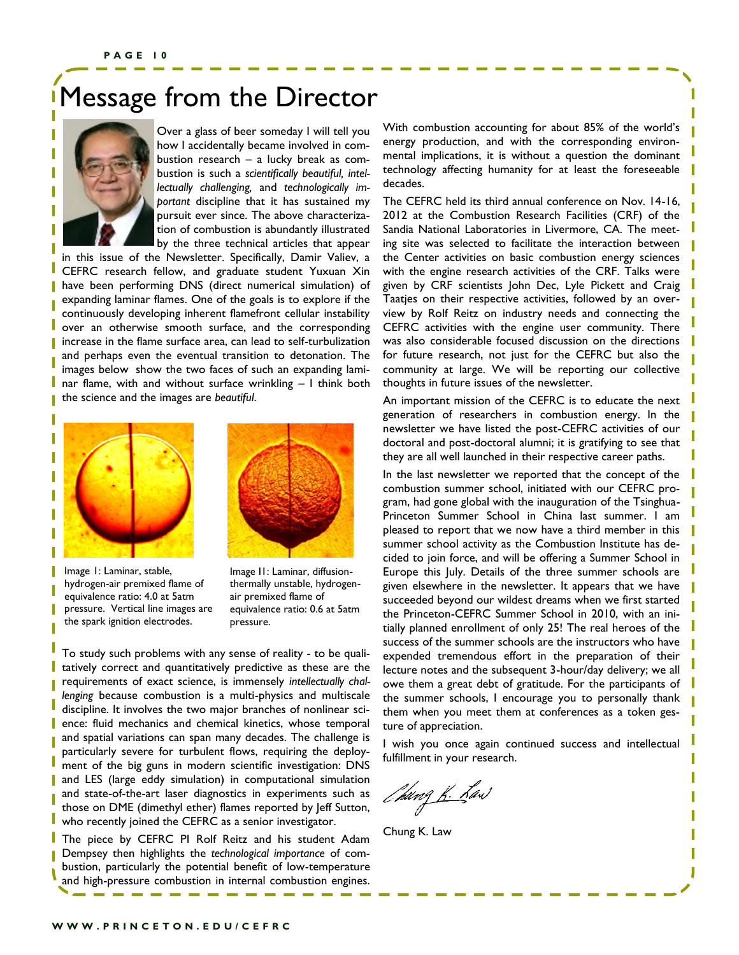### Message from the Director



I

Over a glass of beer someday I will tell you how I accidentally became involved in combustion research – a lucky break as combustion is such a *scientifically beautiful, intellectually challenging,* and *technologically important* discipline that it has sustained my pursuit ever since. The above characterization of combustion is abundantly illustrated by the three technical articles that appear

in this issue of the Newsletter. Specifically, Damir Valiev, a CEFRC research fellow, and graduate student Yuxuan Xin have been performing DNS (direct numerical simulation) of expanding laminar flames. One of the goals is to explore if the continuously developing inherent flamefront cellular instability over an otherwise smooth surface, and the corresponding increase in the flame surface area, can lead to self-turbulization and perhaps even the eventual transition to detonation. The images below show the two faces of such an expanding laminar flame, with and without surface wrinkling – I think both the science and the images are *beautiful*.





Image 1: Laminar, stable, hydrogen-air premixed flame of equivalence ratio: 4.0 at 5atm pressure. Vertical line images are the spark ignition electrodes.

Image I1: Laminar, diffusionthermally unstable, hydrogenair premixed flame of equivalence ratio: 0.6 at 5atm pressure.

To study such problems with any sense of reality - to be qualitatively correct and quantitatively predictive as these are the requirements of exact science, is immensely *intellectually challenging* because combustion is a multi-physics and multiscale discipline. It involves the two major branches of nonlinear science: fluid mechanics and chemical kinetics, whose temporal and spatial variations can span many decades. The challenge is particularly severe for turbulent flows, requiring the deployment of the big guns in modern scientific investigation: DNS and LES (large eddy simulation) in computational simulation and state-of-the-art laser diagnostics in experiments such as those on DME (dimethyl ether) flames reported by Jeff Sutton, who recently joined the CEFRC as a senior investigator.

The piece by CEFRC PI Rolf Reitz and his student Adam Dempsey then highlights the *technological importance* of combustion, particularly the potential benefit of low-temperature and high-pressure combustion in internal combustion engines.

With combustion accounting for about 85% of the world's energy production, and with the corresponding environmental implications, it is without a question the dominant technology affecting humanity for at least the foreseeable decades.

The CEFRC held its third annual conference on Nov. 14-16, 2012 at the Combustion Research Facilities (CRF) of the Sandia National Laboratories in Livermore, CA. The meeting site was selected to facilitate the interaction between the Center activities on basic combustion energy sciences with the engine research activities of the CRF. Talks were given by CRF scientists John Dec, Lyle Pickett and Craig Taatjes on their respective activities, followed by an overview by Rolf Reitz on industry needs and connecting the CEFRC activities with the engine user community. There was also considerable focused discussion on the directions for future research, not just for the CEFRC but also the community at large. We will be reporting our collective thoughts in future issues of the newsletter.

An important mission of the CEFRC is to educate the next generation of researchers in combustion energy. In the newsletter we have listed the post-CEFRC activities of our doctoral and post-doctoral alumni; it is gratifying to see that they are all well launched in their respective career paths.

In the last newsletter we reported that the concept of the combustion summer school, initiated with our CEFRC program, had gone global with the inauguration of the Tsinghua-Princeton Summer School in China last summer. I am pleased to report that we now have a third member in this summer school activity as the Combustion Institute has decided to join force, and will be offering a Summer School in Europe this July. Details of the three summer schools are given elsewhere in the newsletter. It appears that we have succeeded beyond our wildest dreams when we first started the Princeton-CEFRC Summer School in 2010, with an initially planned enrollment of only 25! The real heroes of the success of the summer schools are the instructors who have expended tremendous effort in the preparation of their lecture notes and the subsequent 3-hour/day delivery; we all owe them a great debt of gratitude. For the participants of the summer schools, I encourage you to personally thank them when you meet them at conferences as a token gesture of appreciation.

I wish you once again continued success and intellectual fulfillment in your research.

*Ch*ung <u>K.</u> Kast

Chung K. Law